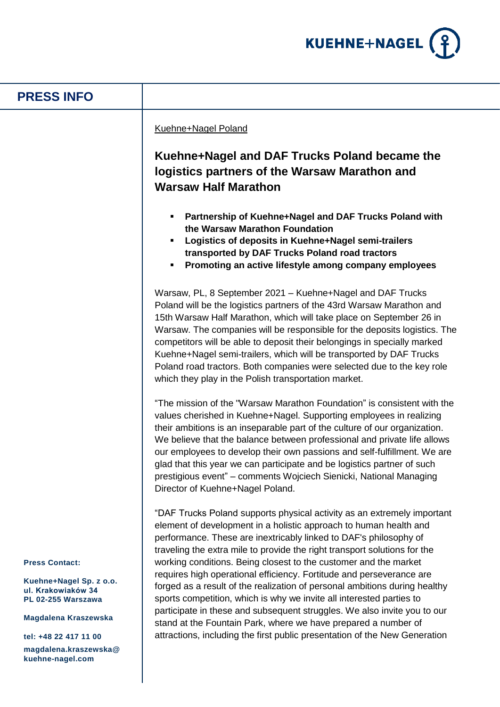

## Kuehne+Nagel Poland

**Kuehne+Nagel and DAF Trucks Poland became the logistics partners of the Warsaw Marathon and Warsaw Half Marathon**

- **Partnership of Kuehne+Nagel and DAF Trucks Poland with the Warsaw Marathon Foundation**
- **Logistics of deposits in Kuehne+Nagel semi-trailers transported by DAF Trucks Poland road tractors**
- **Promoting an active lifestyle among company employees**

Warsaw, PL, 8 September 2021 – Kuehne+Nagel and DAF Trucks Poland will be the logistics partners of the 43rd Warsaw Marathon and 15th Warsaw Half Marathon, which will take place on September 26 in Warsaw. The companies will be responsible for the deposits logistics. The competitors will be able to deposit their belongings in specially marked Kuehne+Nagel semi-trailers, which will be transported by DAF Trucks Poland road tractors. Both companies were selected due to the key role which they play in the Polish transportation market.

"The mission of the "Warsaw Marathon Foundation" is consistent with the values cherished in Kuehne+Nagel. Supporting employees in realizing their ambitions is an inseparable part of the culture of our organization. We believe that the balance between professional and private life allows our employees to develop their own passions and self-fulfillment. We are glad that this year we can participate and be logistics partner of such prestigious event" – comments Wojciech Sienicki, National Managing Director of Kuehne+Nagel Poland.

"DAF Trucks Poland supports physical activity as an extremely important element of development in a holistic approach to human health and performance. These are inextricably linked to DAF's philosophy of traveling the extra mile to provide the right transport solutions for the working conditions. Being closest to the customer and the market requires high operational efficiency. Fortitude and perseverance are forged as a result of the realization of personal ambitions during healthy sports competition, which is why we invite all interested parties to participate in these and subsequent struggles. We also invite you to our stand at the Fountain Park, where we have prepared a number of attractions, including the first public presentation of the New Generation

**Press Contact:**

**Kuehne+Nagel Sp. z o.o. ul. Krakowiaków 34 PL 02-255 Warszawa**

**Magdalena Kraszewska**

**tel: +48 22 417 11 00**

**magdalena.kraszewska@ kuehne-nagel.com**